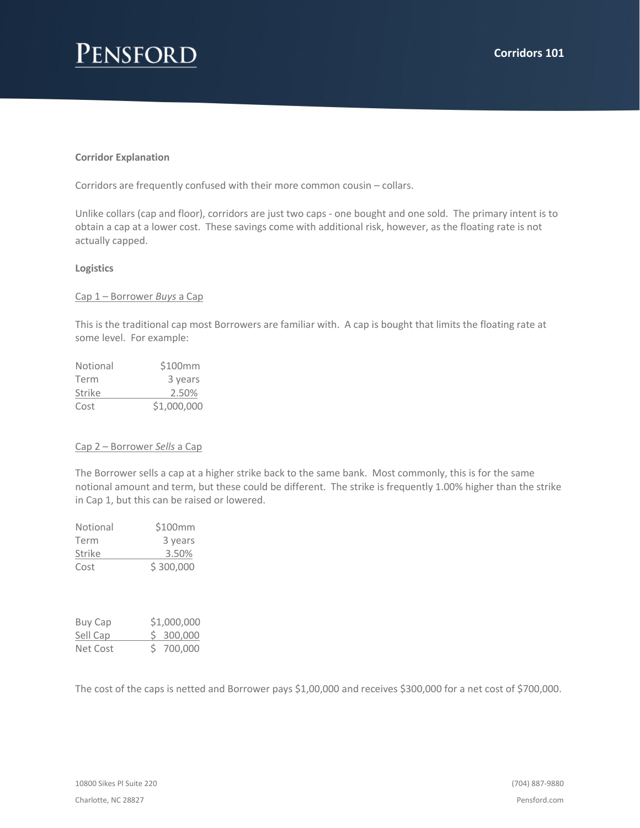# Pensford

### **Corridor Explanation**

Corridors are frequently confused with their more common cousin – collars.

Unlike collars (cap and floor), corridors are just two caps - one bought and one sold. The primary intent is to obtain a cap at a lower cost. These savings come with additional risk, however, as the floating rate is not actually capped.

#### **Logistics**

#### Cap 1 – Borrower *Buys* a Cap

This is the traditional cap most Borrowers are familiar with. A cap is bought that limits the floating rate at some level. For example:

| Notional | \$100mm     |  |  |
|----------|-------------|--|--|
| Term     | 3 years     |  |  |
| Strike   | 2.50%       |  |  |
| Cost     | \$1,000,000 |  |  |

#### Cap 2 – Borrower *Sells* a Cap

The Borrower sells a cap at a higher strike back to the same bank. Most commonly, this is for the same notional amount and term, but these could be different. The strike is frequently 1.00% higher than the strike in Cap 1, but this can be raised or lowered.

| Notional | \$100mm   |
|----------|-----------|
| Term     | 3 years   |
| Strike   | 3.50%     |
| Cost     | \$300,000 |

| Buy Cap  | \$1,000,000 |           |  |
|----------|-------------|-----------|--|
| Sell Cap |             | \$300,000 |  |
| Net Cost |             | \$700,000 |  |

The cost of the caps is netted and Borrower pays \$1,00,000 and receives \$300,000 for a net cost of \$700,000.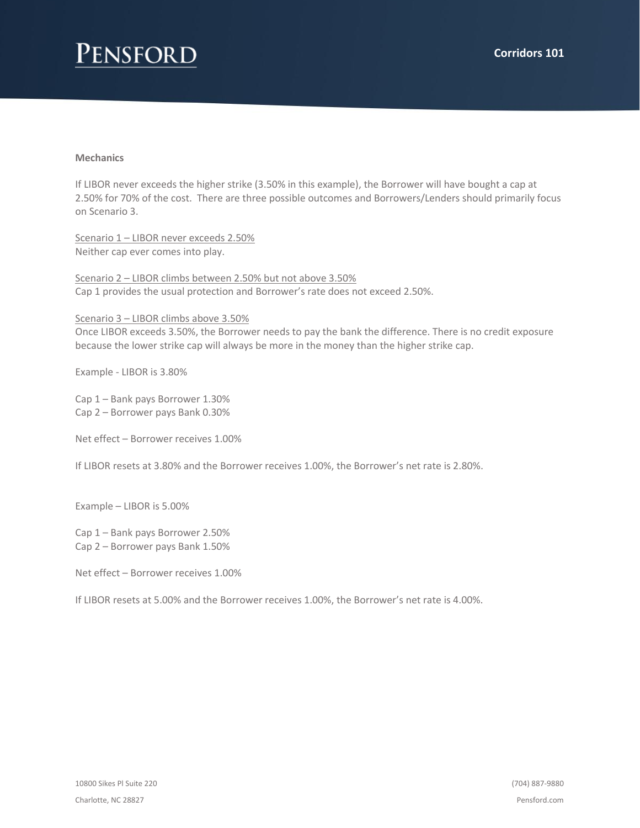## Pensford

### **Mechanics**

If LIBOR never exceeds the higher strike (3.50% in this example), the Borrower will have bought a cap at 2.50% for 70% of the cost. There are three possible outcomes and Borrowers/Lenders should primarily focus on Scenario 3.

Scenario 1 – LIBOR never exceeds 2.50% Neither cap ever comes into play.

Scenario 2 – LIBOR climbs between 2.50% but not above 3.50% Cap 1 provides the usual protection and Borrower's rate does not exceed 2.50%.

Scenario 3 – LIBOR climbs above 3.50%

Once LIBOR exceeds 3.50%, the Borrower needs to pay the bank the difference. There is no credit exposure because the lower strike cap will always be more in the money than the higher strike cap.

Example - LIBOR is 3.80%

Cap 1 – Bank pays Borrower 1.30% Cap 2 – Borrower pays Bank 0.30%

Net effect – Borrower receives 1.00%

If LIBOR resets at 3.80% and the Borrower receives 1.00%, the Borrower's net rate is 2.80%.

Example – LIBOR is 5.00%

Cap 1 – Bank pays Borrower 2.50% Cap 2 – Borrower pays Bank 1.50%

Net effect – Borrower receives 1.00%

If LIBOR resets at 5.00% and the Borrower receives 1.00%, the Borrower's net rate is 4.00%.